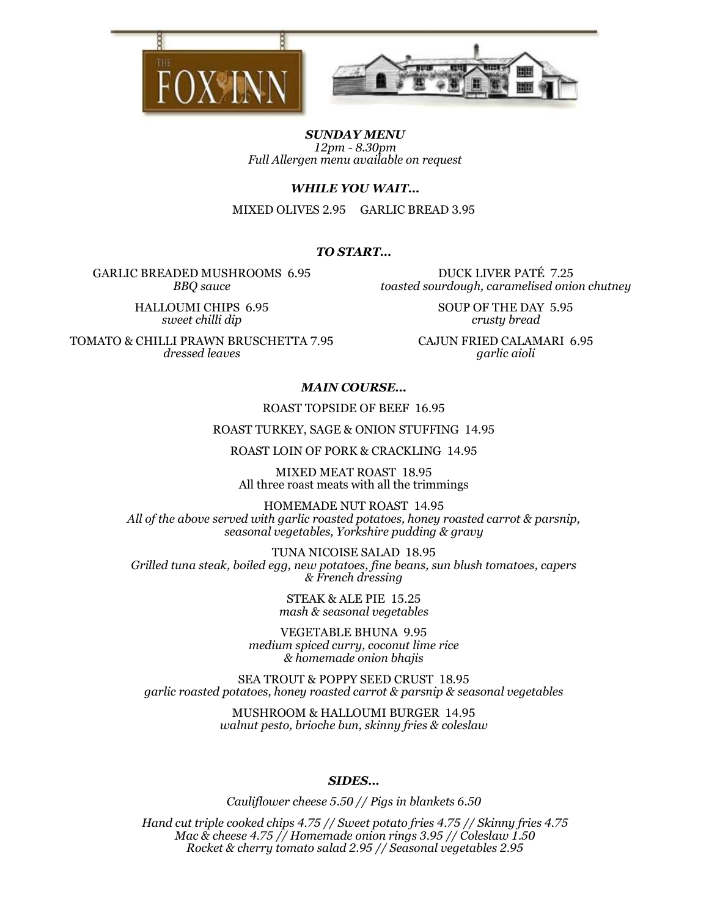



SUNDAY MENU 12pm - 8.30pm Full Allergen menu available on request

WHILE YOU WAIT…

MIXED OLIVES 2.95 GARLIC BREAD 3.95

# TO START…

GARLIC BREADED MUSHROOMS 6.95 BBQ sauce

HALLOUMI CHIPS 6.95 sweet chilli dip

TOMATO & CHILLI PRAWN BRUSCHETTA 7.95 dressed leaves

DUCK LIVER PATÉ 7.25 toasted sourdough, caramelised onion chutney

> SOUP OF THE DAY 5.95 crusty bread

CAJUN FRIED CALAMARI 6.95 garlic aioli

#### MAIN COURSE…

#### ROAST TOPSIDE OF BEEF 16.95

ROAST TURKEY, SAGE & ONION STUFFING 14.95

ROAST LOIN OF PORK & CRACKLING 14.95

MIXED MEAT ROAST 18.95 All three roast meats with all the trimmings

HOMEMADE NUT ROAST 14.95 All of the above served with garlic roasted potatoes, honey roasted carrot & parsnip, seasonal vegetables, Yorkshire pudding & gravy

TUNA NICOISE SALAD 18.95 Grilled tuna steak, boiled egg, new potatoes, fine beans, sun blush tomatoes, capers & French dressing

> STEAK & ALE PIE 15.25 mash & seasonal vegetables

VEGETABLE BHUNA 9.95 medium spiced curry, coconut lime rice & homemade onion bhajis

SEA TROUT & POPPY SEED CRUST 18.95 garlic roasted potatoes, honey roasted carrot & parsnip & seasonal vegetables

> MUSHROOM & HALLOUMI BURGER 14.95 walnut pesto, brioche bun, skinny fries & coleslaw

#### SIDES…

Cauliflower cheese 5.50 // Pigs in blankets 6.50

Hand cut triple cooked chips 4.75 // Sweet potato fries 4.75 // Skinny fries 4.75 Mac & cheese 4.75 // Homemade onion rings 3.95 // Coleslaw 1.50 Rocket & cherry tomato salad 2.95 // Seasonal vegetables 2.95